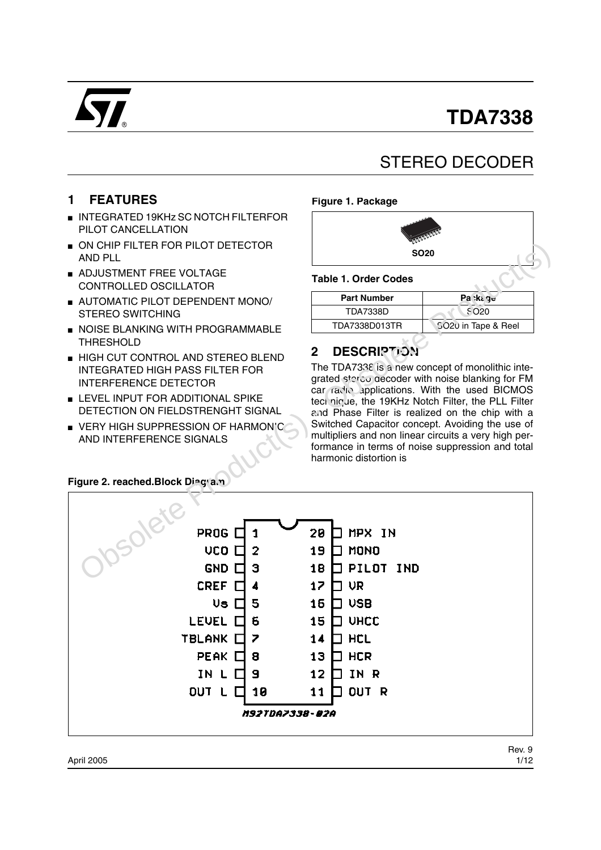# **TDA7338**



# STEREO DECODER

## **1 FEATURES**

- INTEGRATED 19KHz SC NOTCH FILTERFOR PILOT CANCELLATION
- ON CHIP FILTER FOR PILOT DETECTOR AND PLL
- ADJUSTMENT FREE VOLTAGE CONTROLLED OSCILLATOR
- AUTOMATIC PILOT DEPENDENT MONO/ STEREO SWITCHING
- NOISE BLANKING WITH PROGRAMMABLE THRESHOLD
- HIGH CUT CONTROL AND STEREO BLEND INTEGRATED HIGH PASS FILTER FOR INTERFERENCE DETECTOR
- LEVEL INPUT FOR ADDITIONAL SPIKE DETECTION ON FIELDSTRENGHT SIGNAL
- VERY HIGH SUPPRESSION OF HARMONIC AND INTERFERENCE SIGNALS

#### **Figure 1. Package**



#### **Table 1. Order Codes**

| <b>Part Number</b> | Pa⇔ka q <del>u</del> |
|--------------------|----------------------|
| TDA7338D           | S O20                |
| TDA7338D013TR      | 5020 in Tape & Reel  |

# **2 DESCRIPTION**

The TDA7338 is a new concept of monolithic integrated stereo gecoder with noise blanking for FM car radio applications. With the used BICMOS technique, the 19KHz Notch Filter, the PLL Filter and Phase Filter is realized on the chip with a Switched Capacitor concept. Avoiding the use of multipliers and non linear circuits a very high performance in terms of noise suppression and total harmonic distortion is

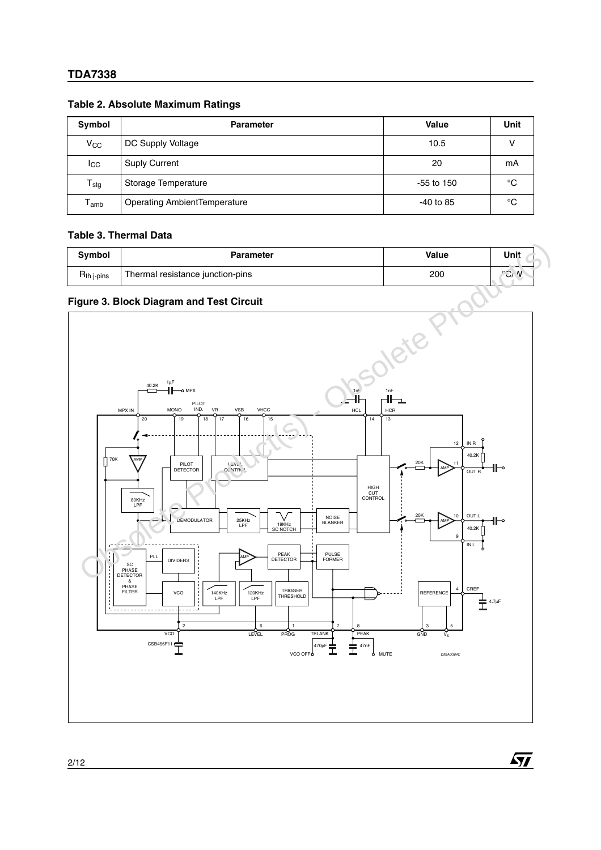| Symbol                      | <b>Parameter</b>                    | Value       | Unit        |
|-----------------------------|-------------------------------------|-------------|-------------|
| V <sub>CC</sub>             | DC Supply Voltage                   | 10.5        |             |
| <b>I</b> cc                 | <b>Suply Current</b>                | 20          | mA          |
| $T_{\text{stg}}$            | Storage Temperature                 | -55 to 150  | °C          |
| $\mathsf{T}_{\mathsf{amb}}$ | <b>Operating AmbientTemperature</b> | $-40$ to 85 | $^{\circ}C$ |

#### **Table 2. Absolute Maximum Ratings**

#### **Table 3. Thermal Data**

| <b>Symbol</b>               | Parameter                        | Value | Unit                             |
|-----------------------------|----------------------------------|-------|----------------------------------|
| D<br>H <sub>th j-pins</sub> | Thermal resistance junction-pins | 200   | $\mathbf{v}$<br>$\sim$<br>$\cup$ |

#### **Figure 3. Block Diagram and Test Circuit**



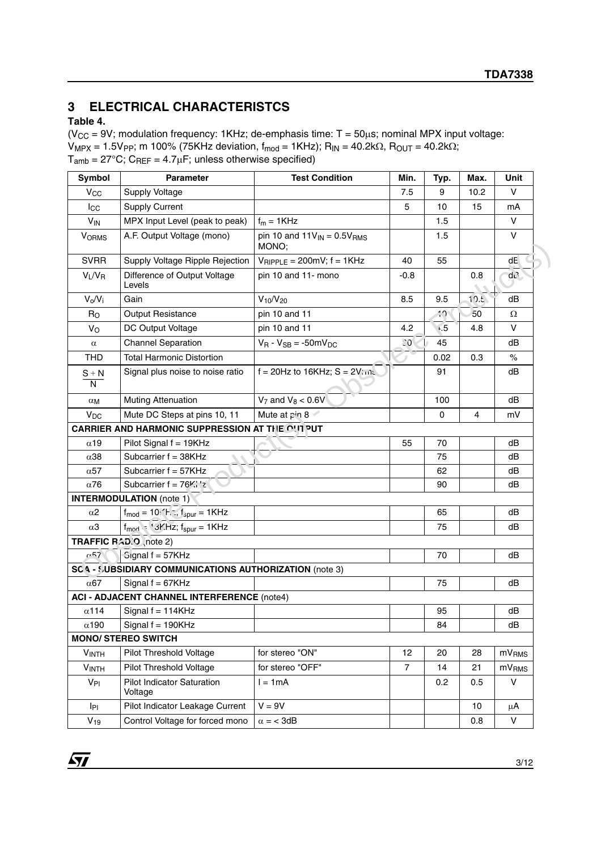# **3 ELECTRICAL CHARACTERISTCS**

#### **Table 4.**

( $V_{CC}$  = 9V; modulation frequency: 1KHz; de-emphasis time:  $T = 50 \mu s$ ; nominal MPX input voltage:  $V_{MPX} = 1.5V_{PP}$ ; m 100% (75KHz deviation,  $f_{mod} = 1KHz$ );  $R_{IN} = 40.2k\Omega$ ,  $R_{OUT} = 40.2k\Omega$ ;  $T_{amb} = 27^{\circ}\text{C}$ ;  $C_{REF} = 4.7 \mu\text{F}$ ; unless otherwise specified)

| Symbol                    | <b>Parameter</b>                                             | <b>Test Condition</b>                          | Min.           | Typ.        | Max.                 | Unit              |
|---------------------------|--------------------------------------------------------------|------------------------------------------------|----------------|-------------|----------------------|-------------------|
| <b>V<sub>CC</sub></b>     | Supply Voltage                                               |                                                | 7.5            | 9           | 10.2                 | $\vee$            |
| $I_{\rm CC}$              | <b>Supply Current</b>                                        |                                                | 5              | 10          | 15                   | mA                |
| <b>V<sub>IN</sub></b>     | MPX Input Level (peak to peak)                               | $f_m = 1KHz$                                   |                | 1.5         |                      | $\vee$            |
| <b>VORMS</b>              | A.F. Output Voltage (mono)                                   | pin 10 and $11V_{IN} = 0.5V_{RMS}$<br>MONO;    |                | 1.5         |                      | $\vee$            |
| <b>SVRR</b>               | Supply Voltage Ripple Rejection                              | $V_{\text{RIPPLE}} = 200 \text{mV}$ ; f = 1KHz | 40             | 55          |                      | dE                |
| $V_L/V_R$                 | Difference of Output Voltage<br>Levels                       | pin 10 and 11- mono                            | $-0.8$         |             | 0.8<br>$\mathcal{L}$ | dL                |
| $V_o/V_i$                 | Gain                                                         | $V_{10}/V_{20}$                                | 8.5            | 9.5         | 10.5                 | dB                |
| R <sub>O</sub>            | Output Resistance                                            | pin 10 and 11                                  |                | 40          | 50                   | Ω                 |
| $V_{\rm O}$               | DC Output Voltage                                            | pin 10 and 11                                  | 4.2            | $\sqrt{5}$  | 4.8                  | V                 |
| $\alpha$                  | <b>Channel Separation</b>                                    | $V_R - V_{SB} = -50mV_{DC}$                    | ିଠ             | 45          |                      | dB                |
| <b>THD</b>                | <b>Total Harmonic Distortion</b>                             |                                                |                | 0.02        | 0.3                  | $\%$              |
| $S + N$<br>$\overline{N}$ | Signal plus noise to noise ratio                             | $f = 20$ Hz to 16KHz; S = $2V$ me              |                | 91          |                      | dB                |
| $\alpha_{\mathsf{M}}$     | <b>Muting Attenuation</b>                                    | $V_7$ and $V_8 < 0.6V$                         |                | 100         |                      | dB                |
| <b>V<sub>DC</sub></b>     | Mute DC Steps at pins 10, 11                                 | Mute at pin 8                                  |                | $\mathbf 0$ | $\overline{4}$       | mV                |
|                           | CARRIER AND HARMONIC SUPPRESSION AT THE OUT PUT              |                                                |                |             |                      |                   |
| $\alpha$ 19               | Pilot Signal f = 19KHz                                       |                                                | 55             | 70          |                      | dB                |
| $\alpha$ 38               | Subcarrier $f = 38KHz$                                       |                                                |                | 75          |                      | dB                |
| $\alpha$ 57               | Subcarrier f = 57KHz                                         |                                                |                | 62          |                      | dB                |
| $\alpha$ 76               | Subcarrier $f = 76\%$ .                                      |                                                |                | 90          |                      | dВ                |
|                           | <b>INTERMODULATION</b> (note 1)                              |                                                |                |             |                      |                   |
| $\alpha$ 2                | $f_{\text{mod}} = 10$ . $h^{-1}$ , $f_{\text{spur}} = 1$ KHz |                                                |                | 65          |                      | dB                |
| $\alpha$ 3                | $f_{mod}$ $\cdot$ '3F.Hz; $f_{spur} = 1$ KHz                 |                                                |                | 75          |                      | dВ                |
|                           | TRAFFIC RAD.O note 2)                                        |                                                |                |             |                      |                   |
| $-57$                     | Gignal f = 57KHz                                             |                                                |                | 70          |                      | dB                |
|                           | SC 4 - SUBSIDIARY COMMUNICATIONS AUTHORIZATION (note 3)      |                                                |                |             |                      |                   |
| $\alpha$ 67               | Signal $f = 67KHz$                                           |                                                |                | 75          |                      | dB                |
|                           | <b>ACI - ADJACENT CHANNEL INTERFERENCE (note4)</b>           |                                                |                |             |                      |                   |
| $\alpha$ 114              | Signal $f = 114KHz$                                          |                                                |                | 95          |                      | dB                |
| $\alpha$ 190              | Signal $f = 190KHz$                                          |                                                |                | 84          |                      | dB                |
|                           | <b>MONO/ STEREO SWITCH</b>                                   |                                                |                |             |                      |                   |
| V <sub>INTH</sub>         | Pilot Threshold Voltage                                      | for stereo "ON"                                | 12             | 20          | 28                   | mV <sub>RMS</sub> |
| <b>VINTH</b>              | Pilot Threshold Voltage                                      | for stereo "OFF"                               | $\overline{7}$ | 14          | 21                   | mV <sub>RMS</sub> |
| V <sub>PI</sub>           | <b>Pilot Indicator Saturation</b><br>Voltage                 | $l = 1mA$                                      |                | 0.2         | 0.5                  | $\vee$            |
| IPI                       | Pilot Indicator Leakage Current                              | $V = 9V$                                       |                |             | 10                   | μA                |
| $V_{19}$                  | Control Voltage for forced mono                              | $\alpha = 3dB$                                 |                |             | 0.8                  | $\mathsf{V}$      |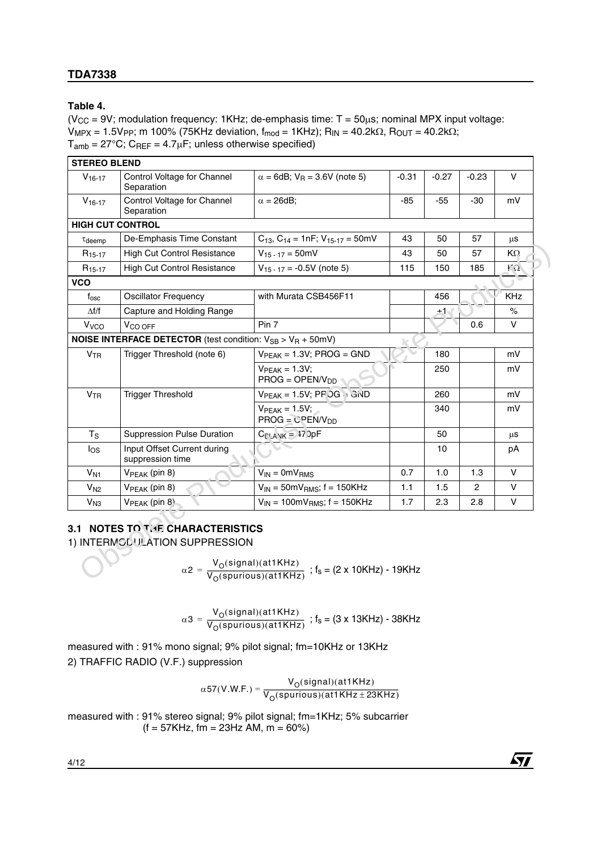#### **Table 4.**

 $(V_{CC} = 9V$ ; modulation frequency: 1KHz; de-emphasis time:  $T = 50\mu s$ ; nominal MPX input voltage:  $V_{MPX} = 1.5V_{PP}$ ; m 100% (75KHz deviation,  $f_{mod} = 1$ KHz);  $R_{IN} = 40.2kΩ$ ,  $R_{OUT} = 40.2kΩ$ ;  $T_{amb}$  = 27°C; C<sub>REF</sub> = 4.7 $\mu$ F; unless otherwise specified)

| $V_{16-17}$             | Control Voltage for Channel<br>Separation                                                 | $\alpha$ = 6dB; V <sub>R</sub> = 3.6V (note 5) | $-0.31$ | $-0.27$ | $-0.23$ | V            |
|-------------------------|-------------------------------------------------------------------------------------------|------------------------------------------------|---------|---------|---------|--------------|
| $V_{16-17}$             | Control Voltage for Channel<br>Separation                                                 | $\alpha$ = 26dB;                               | $-85$   | $-55$   | $-30$   | mV           |
| <b>HIGH CUT CONTROL</b> |                                                                                           |                                                |         |         |         |              |
| $\tau$ deemp            | De-Emphasis Time Constant                                                                 | $C_{13}$ , $C_{14}$ = 1nF; $V_{15-17}$ = 50mV  | 43      | 50      | 57      | μS           |
| R <sub>15-17</sub>      | <b>High Cut Control Resistance</b>                                                        | $V_{15-17} = 50$ mV                            | 43      | 50      | 57      | KΩ.          |
| $R_{15-17}$             | <b>High Cut Control Resistance</b>                                                        | $V_{15-17} = -0.5V$ (note 5)                   | 115     | 150     | 185     | $\Omega$     |
| <b>VCO</b>              |                                                                                           |                                                |         |         |         |              |
| $f_{\rm osc}$           | <b>Oscillator Frequency</b>                                                               | with Murata CSB456F11                          |         | 456     |         | <b>KHz</b>   |
| $\Delta f/f$            | Capture and Holding Range                                                                 |                                                |         | $+1$    |         | $\%$         |
| Vvco                    | V <sub>CO</sub> OFF                                                                       | Pin 7                                          |         |         | 0.6     | V            |
|                         | <b>NOISE INTERFACE DETECTOR</b> (test condition: V <sub>SB</sub> > V <sub>R</sub> + 50mV) |                                                |         |         |         |              |
| V <sub>TR</sub>         | Trigger Threshold (note 6)                                                                | $VPEAK = 1.3V; PROG = GND$                     |         | 180     |         | mV           |
|                         |                                                                                           | $VPEAK = 1.3V;$<br>$PROG = OPER/VDD$           |         | 250     |         | mV           |
| <b>V<sub>TR</sub></b>   | <b>Trigger Threshold</b>                                                                  | $VPEAK = 1.5V$ ; PF OG $\cdot$ C/VD            |         | 260     |         | mV           |
|                         |                                                                                           | $VPEAK = 1.5V$ ;<br>$PROG = CPEN/VDD$          |         | 340     |         | mV           |
| $T_S$                   | <b>Suppression Pulse Duration</b>                                                         | $C_{\text{I'AVK}} = 17$ JpF                    |         | 50      |         | μS           |
| $I_{OS}$                | Input Offset Current during<br>suppression time                                           |                                                |         | 10      |         | рA           |
| V <sub>N1</sub>         | V <sub>PEAK</sub> (pin 8)                                                                 | $V_{IN} = 0mV_{RMS}$                           | 0.7     | 1.0     | 1.3     | $\mathsf{V}$ |
| V <sub>N2</sub>         | V <sub>PEAK</sub> (pin 8)                                                                 | $V_{IN}$ = 50m $V_{RMS}$ ; f = 150KHz          | 1.1     | 1.5     | 2       | V            |
| V <sub>N3</sub>         | $VPEAK$ (pin 8)                                                                           | $V_{IN}$ = 100m $V_{RMS}$ ; f = 150KHz         | 1.7     | 2.3     | 2.8     | V            |

### **3.1 NOTES TO THE CHARACTERISTICS**

$$
\alpha 2 = \frac{V_O(\text{signal})(\text{at1KHz})}{V_O(\text{spurious})(\text{at1KHz})} \text{ ; } f_s = (2 \text{ x } 10 \text{KHz}) - 19 \text{KHz}
$$

$$
\alpha 3 = \frac{V_{O}(signal)(at1KHz)}{V_{O}(spurious)(at1KHz)} \text{ ; } f_{s} = (3 \times 13KHz) - 38KHz
$$

measured with : 91% mono signal; 9% pilot signal; fm=10KHz or 13KHz 2) TRAFFIC RADIO (V.F.) suppression

$$
\alpha 57(V.W.F.) = \frac{V_{O}(signal)(at1KHz)}{V_{O}(spurious)(at1KHz \pm 23KHz)}
$$

measured with : 91% stereo signal; 9% pilot signal; fm=1KHz; 5% subcarrier  $(f = 57K$ Hz, fm = 23Hz AM, m = 60%)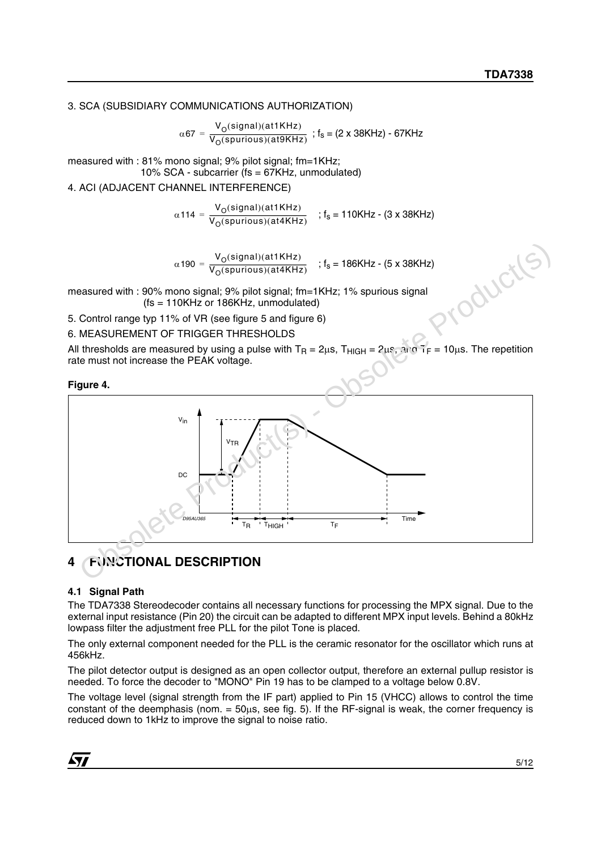3. SCA (SUBSIDIARY COMMUNICATIONS AUTHORIZATION)

 $\alpha$ 67 =  $\frac{V_{\rm O}(signal)(at1KHz)}{V_{\rm O}(spurious)(at9KHz)}$  ; f<sub>s</sub> = (2 x 38KHz) - 67KHz

measured with : 81% mono signal; 9% pilot signal; fm=1KHz; 10% SCA - subcarrier (fs = 67KHz, unmodulated)

4. ACI (ADJACENT CHANNEL INTERFERENCE)

 $\alpha$ 114 =  $\frac{V_{\rm O}(signal)(at1KHz)}{V_{\rm O}(spurious)(at4KHz)}$  ; f<sub>s</sub> = 110KHz - (3 x 38KHz)

 $\alpha$ 190 =  $\frac{V_{\rm O}(signal)(at1KHz)}{V_{\rm O}(spurious)(at4KHz)}$  ; f<sub>s</sub> = 186KHz - (5 x 38KHz)

measured with : 90% mono signal; 9% pilot signal; fm=1KHz; 1% spurious signal (fs = 110KHz or 186KHz, unmodulated)

5. Control range typ 11% of VR (see figure 5 and figure 6)

6. MEASUREMENT OF TRIGGER THRESHOLDS

All thresholds are measured by using a pulse with  $T_R = 2\mu s$ ,  $T_{HIGH} = 2\mu s$ ,  $3\mu a T_F = 10\mu s$ . The repetition rate must not increase the PEAK voltage.

**Figure 4.** 



# **4 FUNCTIONAL DESCRIPTION**

#### **4.1 Signal Path**

The TDA7338 Stereodecoder contains all necessary functions for processing the MPX signal. Due to the external input resistance (Pin 20) the circuit can be adapted to different MPX input levels. Behind a 80kHz lowpass filter the adjustment free PLL for the pilot Tone is placed.

The only external component needed for the PLL is the ceramic resonator for the oscillator which runs at 456kHz.

The pilot detector output is designed as an open collector output, therefore an external pullup resistor is needed. To force the decoder to "MONO" Pin 19 has to be clamped to a voltage below 0.8V.

The voltage level (signal strength from the IF part) applied to Pin 15 (VHCC) allows to control the time constant of the deemphasis (nom.  $= 50\mu s$ , see fig. 5). If the RF-signal is weak, the corner frequency is reduced down to 1kHz to improve the signal to noise ratio.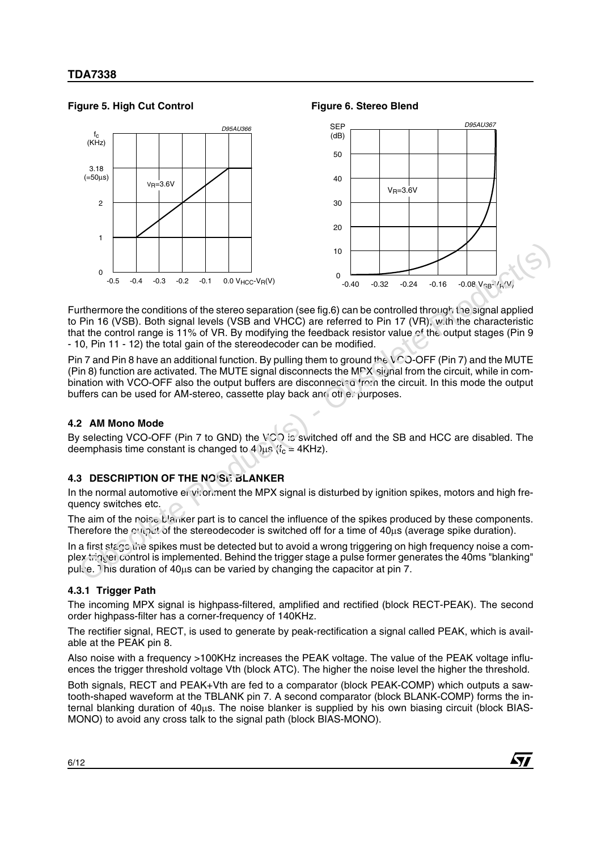#### Figure 5. High Cut Control **Figure 6. Stereo Blend**



Furthermore the conditions of the stereo separation (see fig.6) can be controlled through the signal applied to Pin 16 (VSB). Both signal levels (VSB and VHCC) are referred to Pin 17 (VR), with the characteristic that the control range is 11% of VR. By modifying the feedback resistor value of the output stages (Pin 9 - 10, Pin 11 - 12) the total gain of the stereodecoder can be modified.

Pin 7 and Pin 8 have an additional function. By pulling them to ground the VOO-OFF (Pin 7) and the MUTE (Pin 8) function are activated. The MUTE signal disconnects the MPX-signal from the circuit, while in combination with VCO-OFF also the output buffers are disconnected from the circuit. In this mode the output buffers can be used for AM-stereo, cassette play back and other purposes.

#### **4.2 AM Mono Mode**

By selecting VCO-OFF (Pin 7 to GND) the VCO is switched off and the SB and HCC are disabled. The deemphasis time constant is changed to 4  $\mu$ s (f<sub>c</sub> = 4KHz).

#### **4.3 DESCRIPTION OF THE NOISE BLANKER**

In the normal automotive environment the MPX signal is disturbed by ignition spikes, motors and high frequency switches etc.

The aim of the noise blanker part is to cancel the influence of the spikes produced by these components. Therefore the output of the stereodecoder is switched off for a time of 40µs (average spike duration).

In a first stage the spikes must be detected but to avoid a wrong triggering on high frequency noise a complex  $\pi$  in term control is implemented. Behind the trigger stage a pulse former generates the 40ms "blanking" pulse. This duration of 40µs can be varied by changing the capacitor at pin 7.

#### **4.3.1 Trigger Path**

The incoming MPX signal is highpass-filtered, amplified and rectified (block RECT-PEAK). The second order highpass-filter has a corner-frequency of 140KHz.

The rectifier signal, RECT, is used to generate by peak-rectification a signal called PEAK, which is available at the PEAK pin 8.

Also noise with a frequency >100KHz increases the PEAK voltage. The value of the PEAK voltage influences the trigger threshold voltage Vth (block ATC). The higher the noise level the higher the threshold.

Both signals, RECT and PEAK+Vth are fed to a comparator (block PEAK-COMP) which outputs a sawtooth-shaped waveform at the TBLANK pin 7. A second comparator (block BLANK-COMP) forms the internal blanking duration of 40µs. The noise blanker is supplied by his own biasing circuit (block BIAS-MONO) to avoid any cross talk to the signal path (block BIAS-MONO).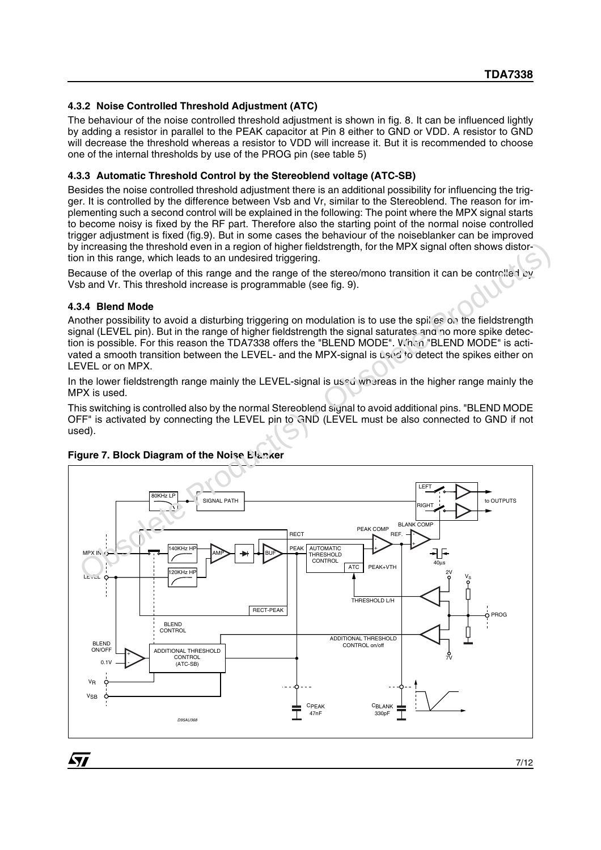#### **4.3.2 Noise Controlled Threshold Adjustment (ATC)**

The behaviour of the noise controlled threshold adjustment is shown in fig. 8. It can be influenced lightly by adding a resistor in parallel to the PEAK capacitor at Pin 8 either to GND or VDD. A resistor to GND will decrease the threshold whereas a resistor to VDD will increase it. But it is recommended to choose one of the internal thresholds by use of the PROG pin (see table 5)

#### **4.3.3 Automatic Threshold Control by the Stereoblend voltage (ATC-SB)**

Besides the noise controlled threshold adjustment there is an additional possibility for influencing the trigger. It is controlled by the difference between Vsb and Vr, similar to the Stereoblend. The reason for implementing such a second control will be explained in the following: The point where the MPX signal starts to become noisy is fixed by the RF part. Therefore also the starting point of the normal noise controlled trigger adjustment is fixed (fig.9). But in some cases the behaviour of the noiseblanker can be improved by increasing the threshold even in a region of higher fieldstrength, for the MPX signal often shows distortion in this range, which leads to an undesired triggering.

Because of the overlap of this range and the range of the stereo/mono transition it can be controlled by Vsb and Vr. This threshold increase is programmable (see fig. 9).

#### **4.3.4 Blend Mode**

Another possibility to avoid a disturbing triggering on modulation is to use the spikes on the fieldstrength signal (LEVEL pin). But in the range of higher fieldstrength the signal saturates and no more spike detection is possible. For this reason the TDA7338 offers the "BLEND MODE". When "BLEND MODE" is activated a smooth transition between the LEVEL- and the MPX-signal is used to detect the spikes either on LEVEL or on MPX.

In the lower fieldstrength range mainly the LEVEL-signal is used whereas in the higher range mainly the MPX is used.

This switching is controlled also by the normal Stereoblend signal to avoid additional pins. "BLEND MODE OFF" is activated by connecting the LEVEL pin to GND (LEVEL must be also connected to GND if not used).



### **Figure 7. Block Diagram of the Noise Blanker**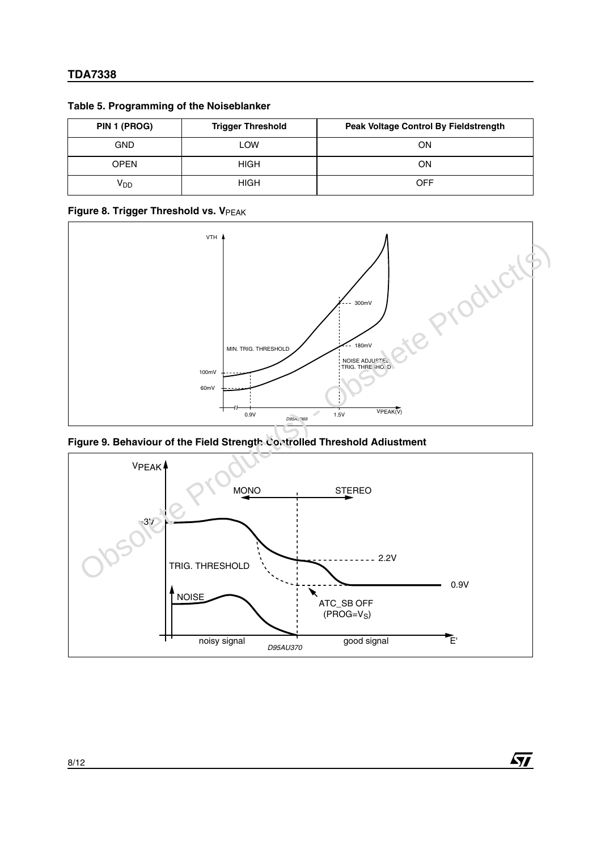| PIN 1 (PROG)    | <b>Trigger Threshold</b> | <b>Peak Voltage Control By Fieldstrength</b> |
|-----------------|--------------------------|----------------------------------------------|
| <b>GND</b>      | LOW                      | OΝ                                           |
| <b>OPEN</b>     | <b>HIGH</b>              | OΝ                                           |
| V <sub>DD</sub> | <b>HIGH</b>              | OFF                                          |

#### **Table 5. Programming of the Noiseblanker**

#### **Figure 8. Trigger Threshold vs. VPEAK**



**Figure 9. Behaviour of the Field Strength Controlled Threshold Adiustment**



**Ayj**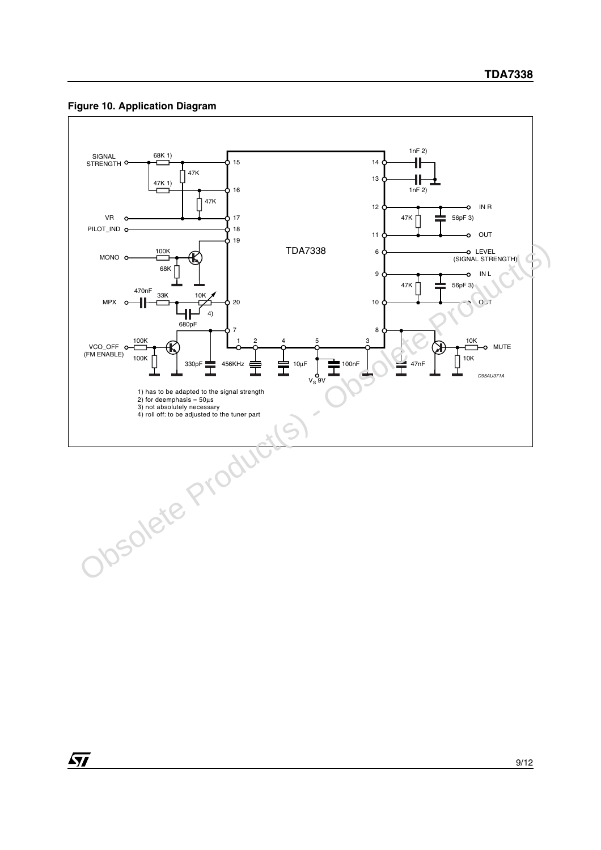#### **Figure 10. Application Diagram**



87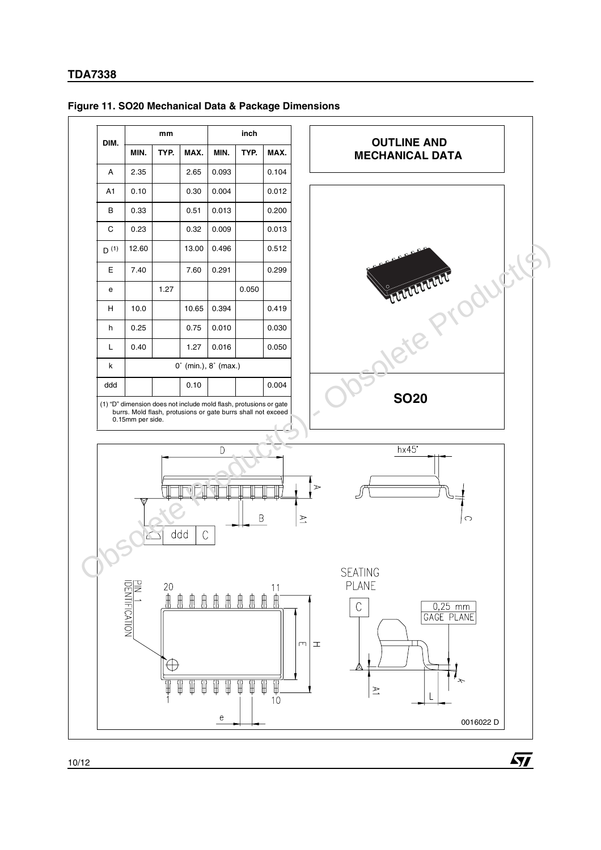

**Ayj** 

#### **Figure 11. SO20 Mechanical Data & Package Dimensions**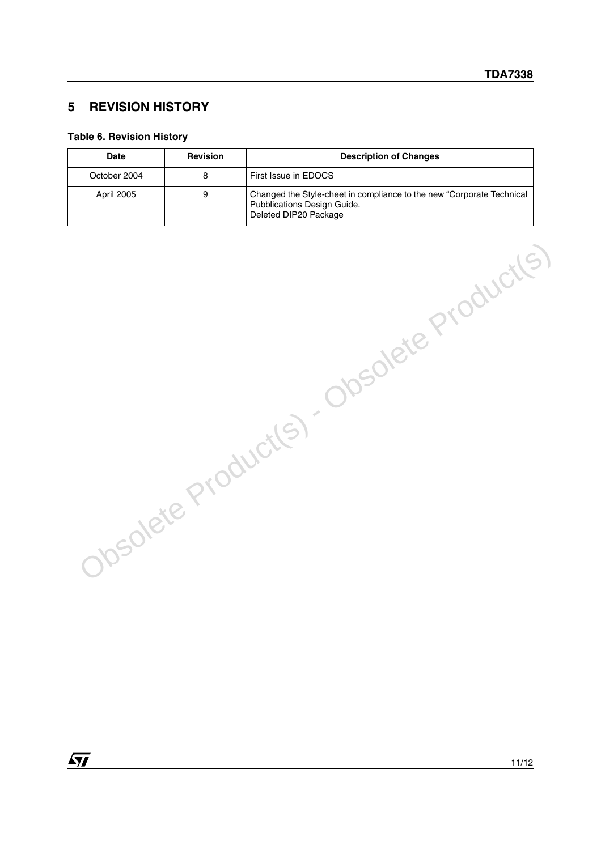## **5 REVISION HISTORY**

#### **Table 6. Revision History**

| Date         | <b>Revision</b> | <b>Description of Changes</b>                                                                                                 |
|--------------|-----------------|-------------------------------------------------------------------------------------------------------------------------------|
| October 2004 |                 | First Issue in EDOCS                                                                                                          |
| April 2005   | 9               | Changed the Style-cheet in compliance to the new "Corporate Technical<br>Pubblications Design Guide.<br>Deleted DIP20 Package |

Obsolete Product(s) - Obsolete Product(s)